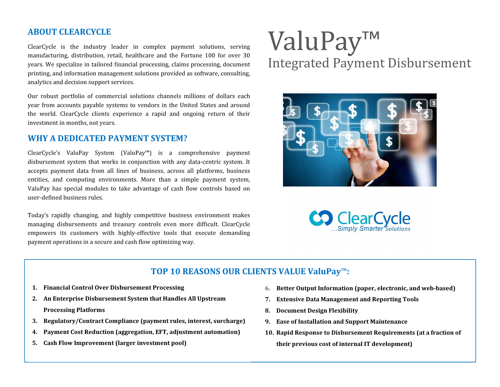# ABOUT CLEARCYCLE

ClearCycle is the industry leader in complex payment solutions, serving manufacturing, distribution, retail, healthcare and the Fortune 100 for over 30 years. We specialize in tailored financial processing, claims processing, document printing, and information management solutions provided as software, consulting, analytics and decision support services.

Our robust portfolio of commercial solutions channels millions of dollars each year from accounts payable systems to vendors in the United States and around the world. ClearCycle clients experience a rapid and ongoing return of their investment in months, not years.

## WHY A DEDICATED PAYMENT SYSTEM?

ClearCycle's ValuPay System (ValuPay™) is a comprehensive paymentdisbursement system that works in conjunction with any data-centric system. It accepts payment data from all lines of business, across all platforms, business entities, and computing environments. More than a simple payment system, ValuPay has special modules to take advantage of cash flow controls based onuser-defined business rules.

Today's rapidly changing, and highly competitive business environment makes managing disbursements and treasury controls even more difficult. ClearCycle empowers its customers with highly-effective tools that execute demanding payment operations in a secure and cash flow optimizing way.

# ValuPay™Integrated Payment Disbursement





# TOP 10 REASONS OUR CLIENTS VALUE ValuPay™:

- 1. Financial Control Over Disbursement Processing
- 2. An Enterprise Disbursement System that Handles All Upstream Processing Platforms
- 3.Regulatory/Contract Compliance (payment rules, interest, surcharge)
- 4.Payment Cost Reduction (aggregation, EFT, adjustment automation)
- 5. Cash Flow Improvement (larger investment pool)
- 6. Better Output Information (paper, electronic, and web-based)
- 7. Extensive Data Management and Reporting Tools
- 8. Document Design Flexibility
- 9. Ease of Installation and Support Maintenance
- 10. Rapid Response to Disbursement Requirements (at a fraction of their previous cost of internal IT development)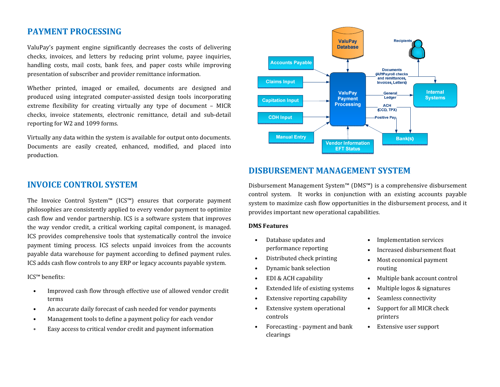## PAYMENT PROCESSING

ValuPay's payment engine significantly decreases the costs of delivering checks, invoices, and letters by reducing print volume, payee inquiries, handling costs, mail costs, bank fees, and paper costs while improvingpresentation of subscriber and provider remittance information.

Whether printed, imaged or emailed, documents are designed and produced using integrated computer-assisted design tools incorporating extreme flexibility for creating virtually any type of document – MICR checks, invoice statements, electronic remittance, detail and sub-detail reporting for W2 and 1099 forms.

Virtually any data within the system is available for output onto documents. Documents are easily created, enhanced, modified, and placed into production.

## INVOICE CONTROL SYSTEM

The Invoice Control System™ (ICS™) ensures that corporate payment philosophies are consistently applied to every vendor payment to optimize cash flow and vendor partnership. ICS is a software system that improves the way vendor credit, a critical working capital component, is managed. ICS provides comprehensive tools that systematically control the invoice payment timing process. ICS selects unpaid invoices from the accounts payable data warehouse for payment according to defined payment rules. ICS adds cash flow controls to any ERP or legacy accounts payable system.

ICS™ benefits:

- • Improved cash flow through effective use of allowed vendor credit terms
- •An accurate daily forecast of cash needed for vendor payments
- •Management tools to define a payment policy for each vendor
- •Easy access to critical vendor credit and payment information



## DISBURSEMENT MANAGEMENT SYSTEM

Disbursement Management System™ (DMS™) is a comprehensive disbursement control system. It works in conjunction with an existing accounts payable system to maximize cash flow opportunities in the disbursement process, and it provides important new operational capabilities.

#### DMS Features

- • Database updates and performance reporting
- •Distributed check printing
- •Dynamic bank selection
- •EDI & ACH capability
- •Extended life of existing systems
- •Extensive reporting capability
- • Extensive system operational controls
- • Forecasting - payment and bank clearings
- •Implementation services
- •Increased disbursement float
- • Most economical payment routing
- •Multiple bank account control
- •Multiple logos & signatures
- •Seamless connectivity
- • Support for all MICR check printers
- •Extensive user support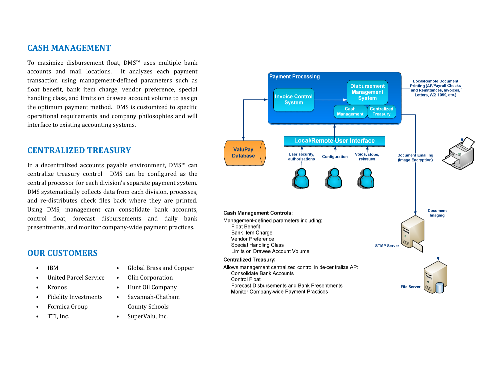## CASH MANAGEMENT

To maximize disbursement float, DMS™ uses multiple bank accounts and mail locations. It analyzes each payment transaction using management-defined parameters such as float benefit, bank item charge, vendor preference, special handling class, and limits on drawee account volume to assign the optimum payment method. DMS is customized to specific operational requirements and company philosophies and will interface to existing accounting systems.

## CENTRALIZED TREASURY

In a decentralized accounts payable environment, DMS™ can centralize treasury control. DMS can be configured as the central processor for each division's separate payment system. DMS systematically collects data from each division, processes, and re-distributes check files back where they are printed. Using DMS, management can consolidate bank accounts, control float, forecast disbursements and daily bank presentments, and monitor company-wide payment practices.

# OUR CUSTOMERS

- •IBM
- •United Parcel Service
- •Kronos
- •Fidelity Investments
- •Formica Group
- •TTI, Inc.
- •Global Brass and Copper
- •Olin Corporation
- •Hunt Oil Company
- •
- SuperValu, Inc.



- Savannah-Chatham County Schools
- •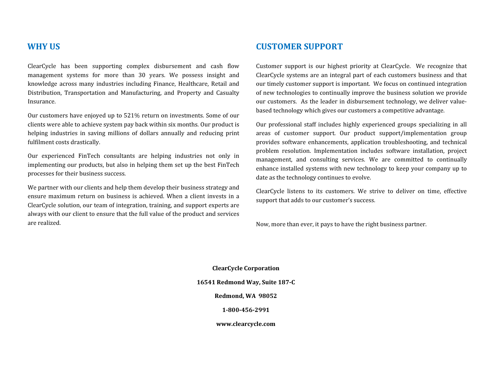### WHY US

ClearCycle has been supporting complex disbursement and cash flow management systems for more than 30 years. We possess insight and knowledge across many industries including Finance, Healthcare, Retail and Distribution, Transportation and Manufacturing, and Property and CasualtyInsurance.

Our customers have enjoyed up to 521% return on investments. Some of our clients were able to achieve system pay back within six months. Our product is helping industries in saving millions of dollars annually and reducing print fulfilment costs drastically.

Our experienced FinTech consultants are helping industries not only in implementing our products, but also in helping them set up the best FinTech processes for their business success.

We partner with our clients and help them develop their business strategy and ensure maximum return on business is achieved. When a client invests in a ClearCycle solution, our team of integration, training, and support experts are always with our client to ensure that the full value of the product and services are realized.

## CUSTOMER SUPPORT

Customer support is our highest priority at ClearCycle. We recognize that ClearCycle systems are an integral part of each customers business and that our timely customer support is important. We focus on continued integration of new technologies to continually improve the business solution we provide our customers. As the leader in disbursement technology, we deliver valuebased technology which gives our customers a competitive advantage.

Our professional staff includes highly experienced groups specializing in all areas of customer support. Our product support/implementation group provides software enhancements, application troubleshooting, and technical problem resolution. Implementation includes software installation, project management, and consulting services. We are committed to continually enhance installed systems with new technology to keep your company up to date as the technology continues to evolve.

ClearCycle listens to its customers. We strive to deliver on time, effective support that adds to our customer's success.

Now, more than ever, it pays to have the right business partner.

ClearCycle Corporation 16541 Redmond Way, Suite 187-C Redmond, WA 98052 1-800-456-2991 www.clearcycle.com